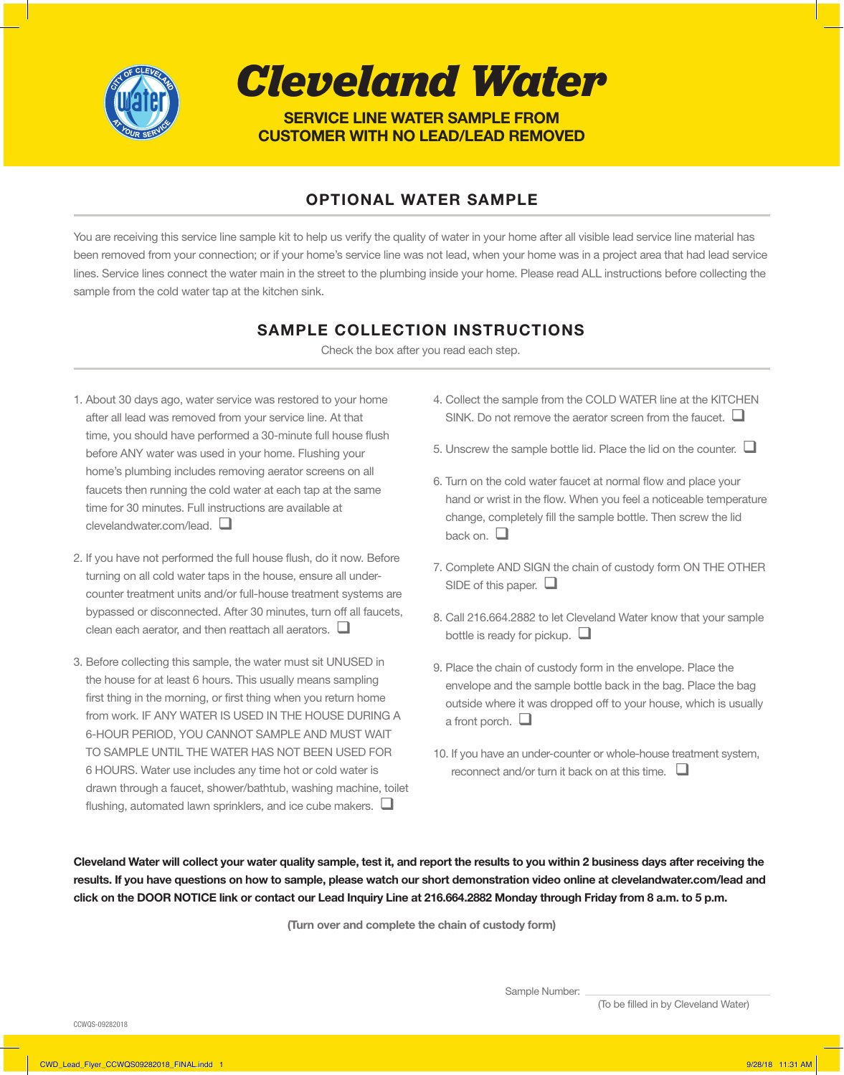

*Cleveland Water*

**SERVICE LINE WATER SAMPLE FROM CUSTOMER WITH NO LEAD/LEAD REMOVED**

## **OPTIONAL WATER SAMPLE**

You are receiving this service line sample kit to help us verify the quality of water in your home after all visible lead service line material has been removed from your connection; or if your home's service line was not lead, when your home was in a project area that had lead service lines. Service lines connect the water main in the street to the plumbing inside your home. Please read ALL instructions before collecting the sample from the cold water tap at the kitchen sink.

### **SAMPLE COLLECTION INSTRUCTIONS**

Check the box after you read each step.

- 1. About 30 days ago, water service was restored to your home after all lead was removed from your service line. At that time, you should have performed a 30-minute full house flush before ANY water was used in your home. Flushing your home's plumbing includes removing aerator screens on all faucets then running the cold water at each tap at the same time for 30 minutes. Full instructions are available at clevelandwater.com/lead.  $\square$
- 2. If you have not performed the full house flush, do it now. Before turning on all cold water taps in the house, ensure all undercounter treatment units and/or full-house treatment systems are bypassed or disconnected. After 30 minutes, turn off all faucets, clean each aerator, and then reattach all aerators.  $\square$
- 3. Before collecting this sample, the water must sit UNUSED in the house for at least 6 hours. This usually means sampling first thing in the morning, or first thing when you return home from work. IF ANY WATER IS USED IN THE HOUSE DURING A 6-HOUR PERIOD, YOU CANNOT SAMPLE AND MUST WAIT TO SAMPLE UNTIL THE WATER HAS NOT BEEN USED FOR 6 HOURS. Water use includes any time hot or cold water is drawn through a faucet, shower/bathtub, washing machine, toilet flushing, automated lawn sprinklers, and ice cube makers.  $\square$
- 4. Collect the sample from the COLD WATER line at the KITCHEN SINK. Do not remove the aerator screen from the faucet.  $\square$
- 5. Unscrew the sample bottle lid. Place the lid on the counter.  $\Box$
- 6. Turn on the cold water faucet at normal flow and place your hand or wrist in the flow. When you feel a noticeable temperature change, completely fill the sample bottle. Then screw the lid back on  $\Box$
- 7. Complete AND SIGN the chain of custody form ON THE OTHER SIDE of this paper.  $\Box$
- 8. Call 216.664.2882 to let Cleveland Water know that your sample bottle is ready for pickup.  $\Box$
- 9. Place the chain of custody form in the envelope. Place the envelope and the sample bottle back in the bag. Place the bag outside where it was dropped off to your house, which is usually a front porch.  $\Box$
- 10. If you have an under-counter or whole-house treatment system, reconnect and/or turn it back on at this time.  $\Box$

**Cleveland Water will collect your water quality sample, test it, and report the results to you within 2 business days after receiving the results. If you have questions on how to sample, please watch our short demonstration video online at clevelandwater.com/lead and click on the DOOR NOTICE link or contact our Lead Inquiry Line at 216.664.2882 Monday through Friday from 8 a.m. to 5 p.m.** 

**(Turn over and complete the chain of custody form)**